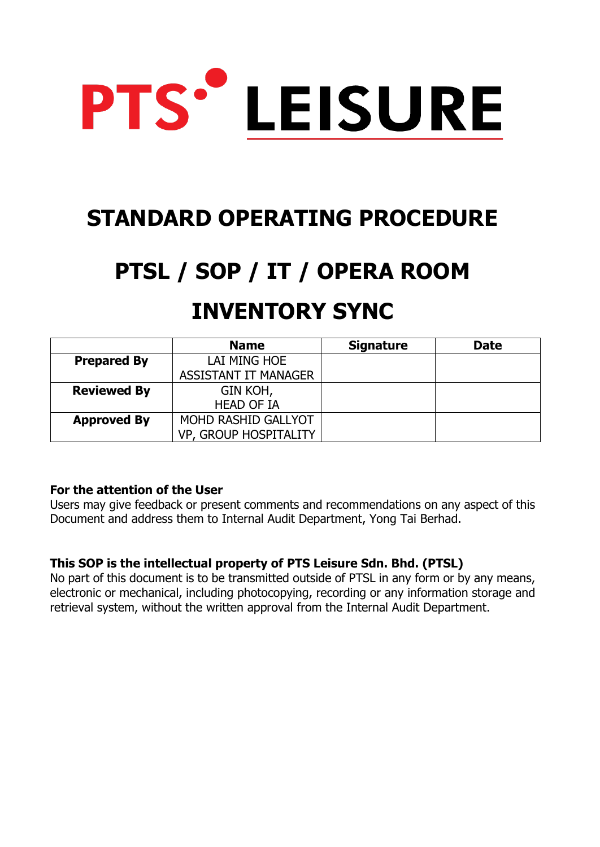

# **STANDARD OPERATING PROCEDURE**

# **PTSL / SOP / IT / OPERA ROOM**

# **INVENTORY SYNC**

|                    | <b>Name</b>           | <b>Signature</b> | <b>Date</b> |
|--------------------|-----------------------|------------------|-------------|
| <b>Prepared By</b> | LAI MING HOE          |                  |             |
|                    | ASSISTANT IT MANAGER  |                  |             |
| <b>Reviewed By</b> | GIN KOH,              |                  |             |
|                    | <b>HEAD OF IA</b>     |                  |             |
| <b>Approved By</b> | MOHD RASHID GALLYOT   |                  |             |
|                    | VP, GROUP HOSPITALITY |                  |             |

## **For the attention of the User**

Users may give feedback or present comments and recommendations on any aspect of this Document and address them to Internal Audit Department, Yong Tai Berhad.

## **This SOP is the intellectual property of PTS Leisure Sdn. Bhd. (PTSL)**

No part of this document is to be transmitted outside of PTSL in any form or by any means, electronic or mechanical, including photocopying, recording or any information storage and retrieval system, without the written approval from the Internal Audit Department.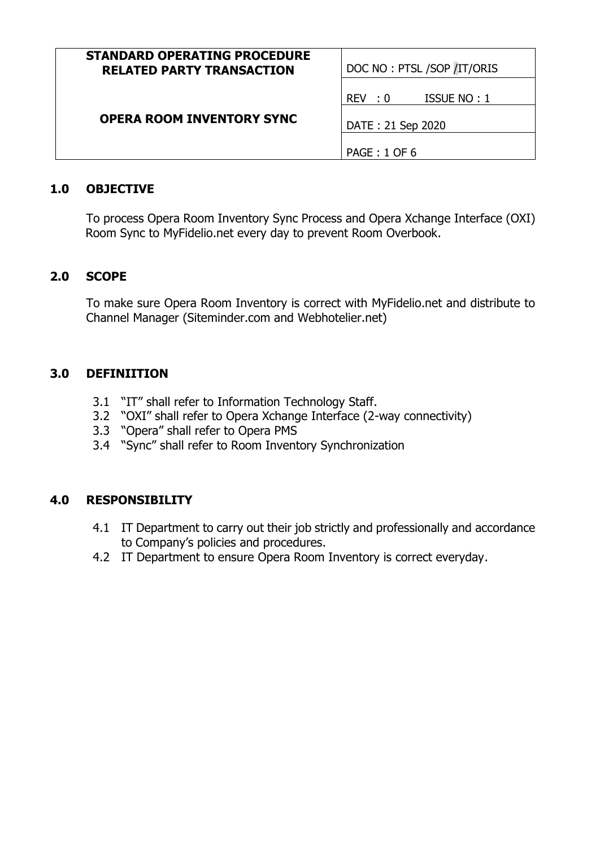| <b>STANDARD OPERATING PROCEDURE</b><br><b>RELATED PARTY TRANSACTION</b> | DOC NO: PTSL /SOP /IT/ORIS                                 |  |
|-------------------------------------------------------------------------|------------------------------------------------------------|--|
| OPERA ROOM INVENTORY SYNC                                               | ISSUE NO: 1<br>REV: 0<br>DATE: 21 Sep 2020<br>PAGE: 1 OF 6 |  |

#### **1.0 OBJECTIVE**

To process Opera Room Inventory Sync Process and Opera Xchange Interface (OXI) Room Sync to MyFidelio.net every day to prevent Room Overbook.

#### **2.0 SCOPE**

To make sure Opera Room Inventory is correct with MyFidelio.net and distribute to Channel Manager (Siteminder.com and Webhotelier.net)

#### **3.0 DEFINIITION**

- 3.1 "IT" shall refer to Information Technology Staff.
- 3.2 "OXI" shall refer to Opera Xchange Interface (2-way connectivity)
- 3.3 "Opera" shall refer to Opera PMS
- 3.4 "Sync" shall refer to Room Inventory Synchronization

## **4.0 RESPONSIBILITY**

- 4.1 IT Department to carry out their job strictly and professionally and accordance to Company's policies and procedures.
- 4.2 IT Department to ensure Opera Room Inventory is correct everyday.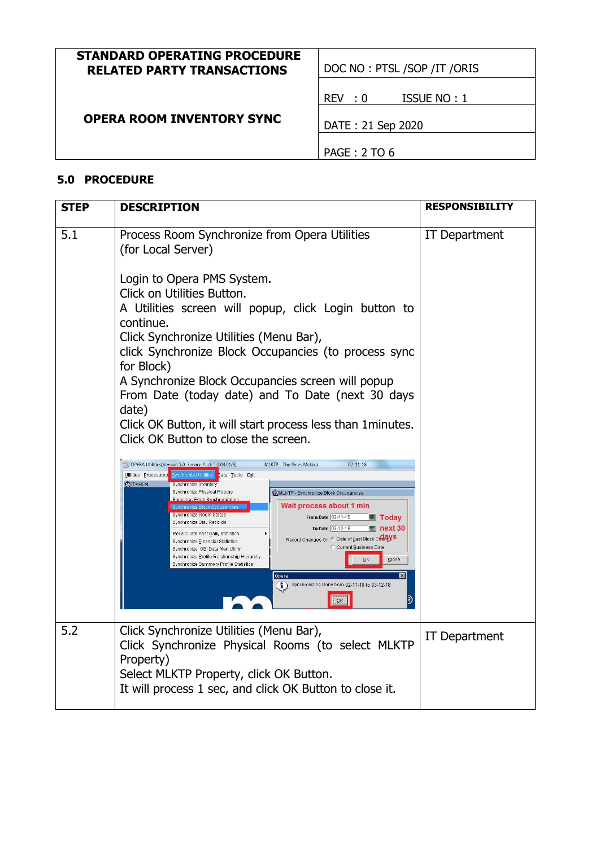| <b>STANDARD OPERATING PROCEDURE</b> |  |
|-------------------------------------|--|
| <b>RELATED PARTY TRANSACTIONS</b>   |  |
|                                     |  |

**DOC NO : PTSL /SOP /IT /ORIS** 

REV : 0 ISSUE NO : 1

 **OPERA ROOM INVENTORY SYNC**

DATE : 21 Sep 2020

PAGE : 2 TO 6

#### **5.0 PROCEDURE**

| <b>STEP</b> | <b>DESCRIPTION</b>                                                                                                                                                                                                                                                                                                                                                                                                                                                                                                                                                                                                                                                                                                                                                                                                                                                                                                                                                                                                                                                                                                                                                                                                                                                                                                                                                                                                    | <b>RESPONSIBILITY</b> |
|-------------|-----------------------------------------------------------------------------------------------------------------------------------------------------------------------------------------------------------------------------------------------------------------------------------------------------------------------------------------------------------------------------------------------------------------------------------------------------------------------------------------------------------------------------------------------------------------------------------------------------------------------------------------------------------------------------------------------------------------------------------------------------------------------------------------------------------------------------------------------------------------------------------------------------------------------------------------------------------------------------------------------------------------------------------------------------------------------------------------------------------------------------------------------------------------------------------------------------------------------------------------------------------------------------------------------------------------------------------------------------------------------------------------------------------------------|-----------------------|
| 5.1         | Process Room Synchronize from Opera Utilities<br>(for Local Server)<br>Login to Opera PMS System.<br>Click on Utilities Button.<br>A Utilities screen will popup, click Login button to<br>continue.<br>Click Synchronize Utilities (Menu Bar),<br>click Synchronize Block Occupancies (to process sync<br>for Block)<br>A Synchronize Block Occupancies screen will popup<br>From Date (today date) and To Date (next 30 days<br>date)<br>Click OK Button, it will start process less than 1 minutes.<br>Click OK Button to close the screen.<br>OPERA Utilities[Version 5.0, Service Pack 5.0.04.01/3]<br>$02 - 11 - 18$<br>MLKTP - The Pines Melaka<br>Utilities Processors<br>Synchronize Utilities Data Tools Exit<br><b>ET ITMHLAI</b><br>Synchronize Inventory<br>Synchronize Physical Rooms<br><b>OF MUKTP</b> - Synchronize Block Occupancies<br><b>Business Event Synchronization</b><br>Wait process about 1 min<br>Synchronize Block Occupanc<br>Synchronize Room Status<br>From Date 02-11-18<br><b>   Today</b><br>Synchronize Stay Records<br>To Date 03-12-18<br>$\overline{m}$ next 30<br>Recalculate Past Daily Statistics<br>Record Changes On <sup>G</sup> Date of Last Block Change's<br>Synchronize Einancial Statistics<br>C Current Business Date<br>Synchronize OBI Data Mart Utility<br>Synchronize Profile Relationship Hierarchy<br>QK<br>Close<br>Synchronize Summary Profile Statistics | IT Department         |
|             | Opera<br>Synchronizing Done from 02-11-18 to 03-12-18<br>OK                                                                                                                                                                                                                                                                                                                                                                                                                                                                                                                                                                                                                                                                                                                                                                                                                                                                                                                                                                                                                                                                                                                                                                                                                                                                                                                                                           |                       |
| 5.2         | Click Synchronize Utilities (Menu Bar),<br>Click Synchronize Physical Rooms (to select MLKTP<br>Property)<br>Select MLKTP Property, click OK Button.<br>It will process 1 sec, and click OK Button to close it.                                                                                                                                                                                                                                                                                                                                                                                                                                                                                                                                                                                                                                                                                                                                                                                                                                                                                                                                                                                                                                                                                                                                                                                                       | IT Department         |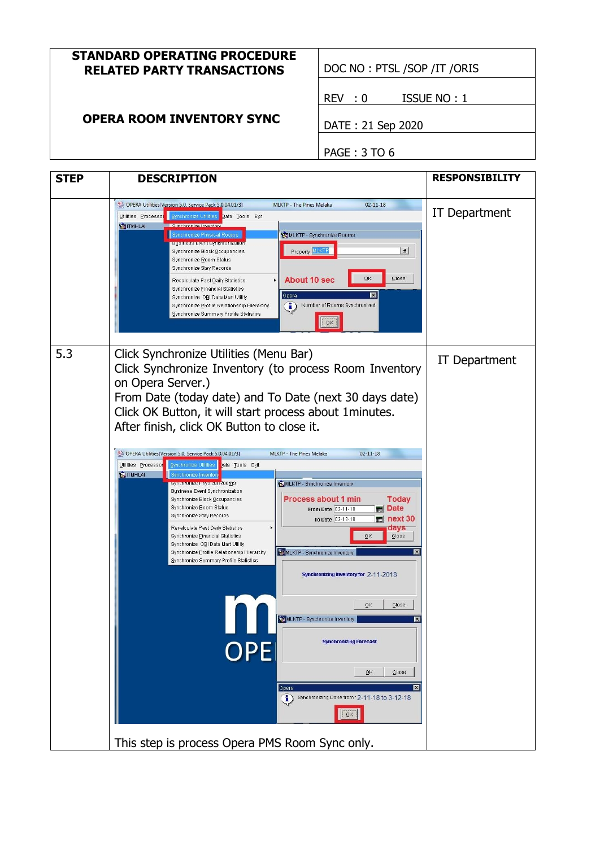#### **STANDARD OPERATING PROCEDURE RELATED PARTY TRANSACTIONS** | DOC NO : PTSL /SOP /IT /ORIS

# **OPERA ROOM INVENTORY SYNC**

REV : 0 ISSUE NO : 1

DATE : 21 Sep 2020

PAGE : 3 TO 6

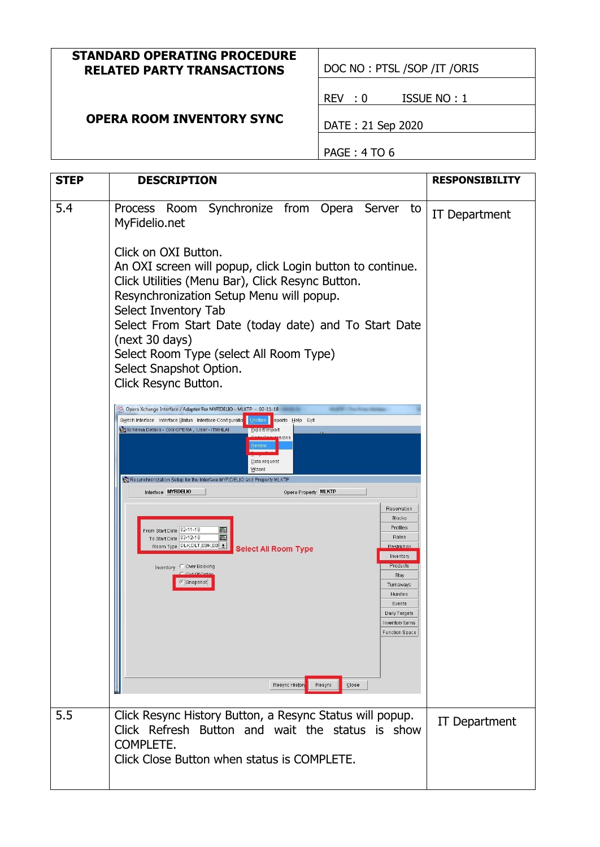#### **STANDARD OPERATING PROCEDURE RELATED PARTY TRANSACTIONS** | DOC NO : PTSL /SOP /IT /ORIS

REV : 0 ISSUE NO : 1

# **OPERA ROOM INVENTORY SYNC**

DATE : 21 Sep 2020

PAGE : 4 TO 6

| <b>STEP</b> | <b>DESCRIPTION</b>                                                                                                                                                                                                                                                                                                                                                                                                                                       | <b>RESPONSIBILITY</b> |  |  |
|-------------|----------------------------------------------------------------------------------------------------------------------------------------------------------------------------------------------------------------------------------------------------------------------------------------------------------------------------------------------------------------------------------------------------------------------------------------------------------|-----------------------|--|--|
|             |                                                                                                                                                                                                                                                                                                                                                                                                                                                          |                       |  |  |
| 5.4         | Room Synchronize from Opera Server to<br>Process<br>MyFidelio.net                                                                                                                                                                                                                                                                                                                                                                                        | IT Department         |  |  |
|             | Click on OXI Button.<br>An OXI screen will popup, click Login button to continue.<br>Click Utilities (Menu Bar), Click Resync Button.<br>Resynchronization Setup Menu will popup.<br>Select Inventory Tab<br>Select From Start Date (today date) and To Start Date<br>(next 30 days)<br>Select Room Type (select All Room Type)<br>Select Snapshot Option.<br>Click Resync Button.<br>Opera Xchange Interface / Adapter For MYFIDELIO - MLKTP - 02-11-18 |                       |  |  |
|             | Switch Interface Interface Status Interface Configuratio<br><b>Utilities</b><br>eports Help Exit<br>Schema Details - OXI/ OPERA, User - ITMHLAI<br>Export/Import<br>sions<br>esyn<br>Data request<br>Wizard<br>Resynchronization Setup for the Interface MYFIDELIO and Property MLKTP                                                                                                                                                                    |                       |  |  |
|             | Interface MYFIDELIO<br>Opera Property MLKTP                                                                                                                                                                                                                                                                                                                                                                                                              |                       |  |  |
|             | Reservation<br><b>Blocks</b><br>Profiles<br>From Start Date 02-11-18<br>冊<br>扁<br>Rates<br>To Start Date 03-12-18<br>Room Type DLK, DLT, EBK, EB<br><b>Restriction</b><br><b>Select All Room Type</b><br>Inventory<br>Products<br>Inventory C Over Booking<br>Stay<br>· Snapshot<br>Turnaways<br>Hurdles<br>Events<br>Daily Targets<br>Inventory Items<br><b>Function Space</b>                                                                          |                       |  |  |
|             | Resync<br>Close<br>Resync History                                                                                                                                                                                                                                                                                                                                                                                                                        |                       |  |  |
| 5.5         | Click Resync History Button, a Resync Status will popup.<br>Click Refresh Button and wait the status is show<br>COMPLETE.<br>Click Close Button when status is COMPLETE.                                                                                                                                                                                                                                                                                 | <b>IT Department</b>  |  |  |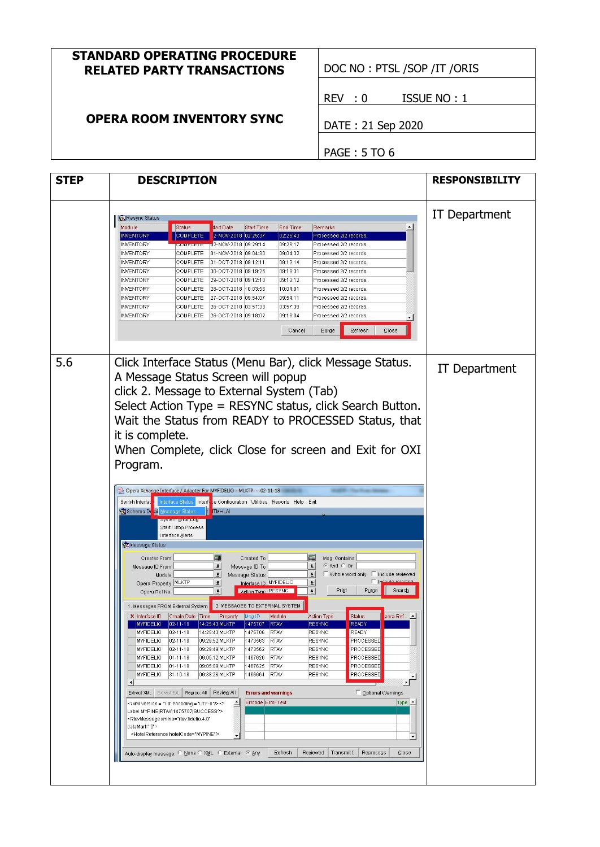#### **STANDARD OPERATING PROCEDURE RELATED PARTY TRANSACTIONS** | DOC NO : PTSL /SOP /IT /ORIS

# **OPERA ROOM INVENTORY SYNC**

REV : 0 ISSUE NO : 1

DATE : 21 Sep 2020

PAGE : 5 TO 6

| <b>STEP</b> | <b>DESCRIPTION</b>                                                                                                                                                                                                                                                                                                                                                                                                                                                                                                                                                                                                                                                                                                                                                                                                                                                                                                                                                                                                                                                                                                                                                                                                                                                                                                                                                                                                                                                                                                                                                                                                                                                                                                                                                                                                                                                                                                                                                                                                                                                                                                                                                                                                                                                                                                                                                                                                                                                                                                                                                                                                                                                                                                                             | <b>RESPONSIBILITY</b><br>IT Department |
|-------------|------------------------------------------------------------------------------------------------------------------------------------------------------------------------------------------------------------------------------------------------------------------------------------------------------------------------------------------------------------------------------------------------------------------------------------------------------------------------------------------------------------------------------------------------------------------------------------------------------------------------------------------------------------------------------------------------------------------------------------------------------------------------------------------------------------------------------------------------------------------------------------------------------------------------------------------------------------------------------------------------------------------------------------------------------------------------------------------------------------------------------------------------------------------------------------------------------------------------------------------------------------------------------------------------------------------------------------------------------------------------------------------------------------------------------------------------------------------------------------------------------------------------------------------------------------------------------------------------------------------------------------------------------------------------------------------------------------------------------------------------------------------------------------------------------------------------------------------------------------------------------------------------------------------------------------------------------------------------------------------------------------------------------------------------------------------------------------------------------------------------------------------------------------------------------------------------------------------------------------------------------------------------------------------------------------------------------------------------------------------------------------------------------------------------------------------------------------------------------------------------------------------------------------------------------------------------------------------------------------------------------------------------------------------------------------------------------------------------------------------------|----------------------------------------|
|             | Resync Status<br>Module<br>Status<br>tart Date<br><b>Start Time</b><br>End Time<br>Remarks<br><b>COMPLETE</b><br>2-NOV-2018 02:25:37<br>02:25:43<br><b>INVENTORY</b><br>Processed 2/2 records.<br><b>INVENTORY</b><br>02-NOV-2018 09:29:14<br>09:29:17<br>Processed 2/2 records.<br><b>JUMPLETE</b><br><b>INVENTORY</b><br>COMPLETE<br>01-NOV-2018 09:04:30<br>09:04:32<br>Processed 2/2 records.<br>09:12:14<br><b>INVENTORY</b><br>COMPLETE<br>31-OCT-2018 09:12:11<br>Processed 2/2 records.<br><b>INVENTORY</b><br>30-OCT-2018 09:19:26<br>09:19:31<br>Processed 2/2 records.<br>COMPLETE<br>09:12:12<br><b>INVENTORY</b><br><b>COMPLETE</b><br>29-OCT-2018 09:12:10<br>Processed 2/2 records.<br><b>INVENTORY</b><br><b>COMPLETE</b><br>28-OCT-2018 10:03:56<br>10:04:01<br>Processed 2/2 records.<br><b>INVENTORY</b><br>27-OCT-2018 09:54:07<br>09:54:11<br><b>COMPLETE</b><br>Processed 2/2 records.<br>03:57:39<br><b>INVENTORY</b><br>26-OCT-2018 03:57:33<br>Processed 2/2 records.<br>COMPLETE<br><b>INVENTORY</b><br>26-OCT-2018 09:18:02<br>09:18:04<br>COMPLETE<br>Processed 2/2 records.<br>Refresh<br>Close<br>Cancel<br>Purge                                                                                                                                                                                                                                                                                                                                                                                                                                                                                                                                                                                                                                                                                                                                                                                                                                                                                                                                                                                                                                                                                                                                                                                                                                                                                                                                                                                                                                                                                                                                                                                                |                                        |
| 5.6         | Click Interface Status (Menu Bar), click Message Status.<br>A Message Status Screen will popup<br>click 2. Message to External System (Tab)<br>Select Action Type = RESYNC status, click Search Button.<br>Wait the Status from READY to PROCESSED Status, that<br>it is complete.<br>When Complete, click Close for screen and Exit for OXI<br>Program.<br>Opera Xchange Interface / Adapter For MYFIDELIO - MLKTP - 02-11-18<br>Switch Interfac<br>Interface Status<br>Interf<br>e Configuration Utilities Reports Help Exit<br>Schema Durai<br><b>Message Status</b><br><b>TMHLAI</b><br>aystem Entru Lug<br>Start / Stop Process<br>Interface Alerts<br><b>Wessage Status</b><br>Created To<br>Msg. Contains<br><b>Created From</b><br>禪<br>$\left  \cdot \right $<br>© And ○ Or<br>$\vert \cdot \vert$<br>Message ID To<br>Message ID From<br>$\pmb{\pm}$<br>$\Box$ Whole word only $\Box$ Include reviewed<br>$\pmb{\pm}$<br>Message Status<br>Module<br>Include rejects<br>Opera Property MLKTP<br>Interface ID MYFIDELIO<br>$\pmb{\pm}$<br>土<br>Print<br>Search<br>Action Type RESYNC<br>$\pmb{\pm}$<br>Purge<br>$\overline{+}$<br>Opera Ref No.<br>2. MESSAGES TO EXTERNAL SYSTEM<br>1. Messages FROM External System<br>pera Ref. 4<br>X Interface ID Create Date Time<br>Property Msg ID<br><b>Status</b><br>Module<br><b>Action Type</b><br><b>MYFIDELIO</b><br>$ 02 - 11 - 18 $<br>14:25:43 MLKTP<br>1475707<br><b>RTAV</b><br><b>READY</b><br>RESYNC<br><b>READY</b><br><b>MYFIDELIO</b><br>$02 - 11 - 18$<br>14:25:43 MLKTP<br>1475706<br><b>RTAV</b><br><b>RESYNC</b><br><b>MYFIDELIO</b><br>02-11-18<br>09:29:52 MLKTP<br>1473563<br><b>RESYNC</b><br>PROCESSED<br><b>RTAV</b><br><b>RESYNC</b><br>PROCESSED<br><b>MYFIDELIO</b><br>$ 02 - 11 - 18 $<br>09:29:49 MLKTP<br>1473562<br><b>RTAV</b><br>MYFIDELIO<br>$01 - 11 - 18$<br>09:05:12 MLKTP<br>1467626<br><b>RTAV</b><br><b>RESYNC</b><br>PROCESSED<br>PROCESSED<br>09:05:09 MLKTP<br><b>RESYNC</b><br><b>MYFIDELIO</b><br>$01 - 11 - 18$<br>1467625<br><b>RTAV</b><br><b>MYFIDELIO</b><br>31-10-18<br>09:38:26 MLKTP<br>1466964<br><b>RESYNC</b><br>PROCESSED<br><b>RTAV</b><br>▸<br>$\left  \cdot \right $<br>Extract XML Extract Ext   Regroc. All  <br>Review All<br>□ Optional Warnings<br><b>Errors and warnings</b><br>Errcode Error Text<br>Type <u>-</u><br>Label MYPINE RTAV 1475707 SUCCESS?><br><rtavmessage <br="" xmlns="rtav.fidelio.4.0">dataMart="0"&gt;<br/><hotelreference hotelcode="MYPINE"></hotelreference><br/><math display="inline">\blacktriangledown</math><br/><math>\overline{\phantom{a}}</math><br/>Refresh<br/>Reviewed<br/>  Transmit f<br/>Reprocess<br/>Close<br/>Auto-display message: C None C XML C External C Any</rtavmessage> | <b>IT Department</b>                   |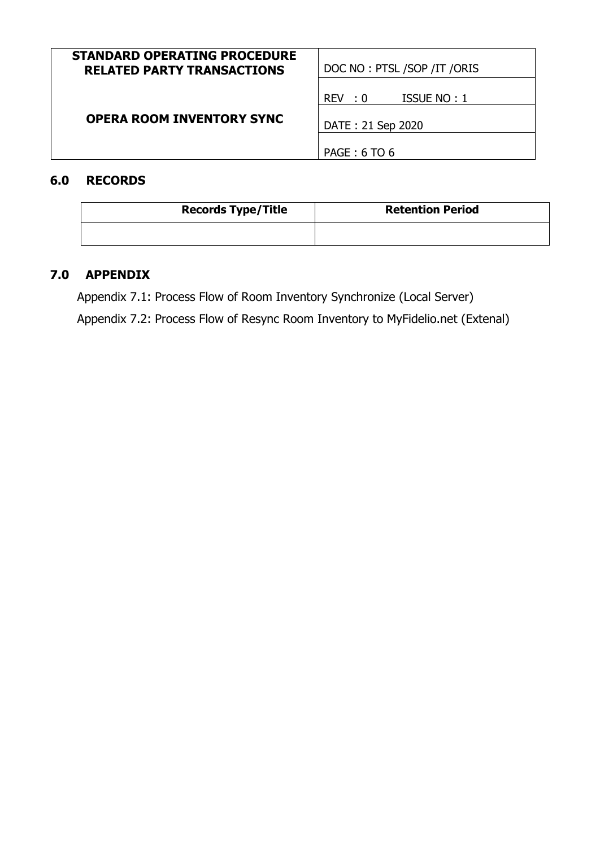| <b>STANDARD OPERATING PROCEDURE</b><br><b>RELATED PARTY TRANSACTIONS</b> | DOC NO: PTSL /SOP / IT / ORIS |  |
|--------------------------------------------------------------------------|-------------------------------|--|
|                                                                          | REV : 0<br>ISSUE NO: 1        |  |
| <b>OPERA ROOM INVENTORY SYNC</b>                                         | DATE: 21 Sep 2020             |  |
|                                                                          | PAGE: 6 TO 6                  |  |

# **6.0 RECORDS**

| <b>Records Type/Title</b> | <b>Retention Period</b> |
|---------------------------|-------------------------|
|                           |                         |

# **7.0 APPENDIX**

Appendix 7.1: Process Flow of Room Inventory Synchronize (Local Server) Appendix 7.2: Process Flow of Resync Room Inventory to MyFidelio.net (Extenal)